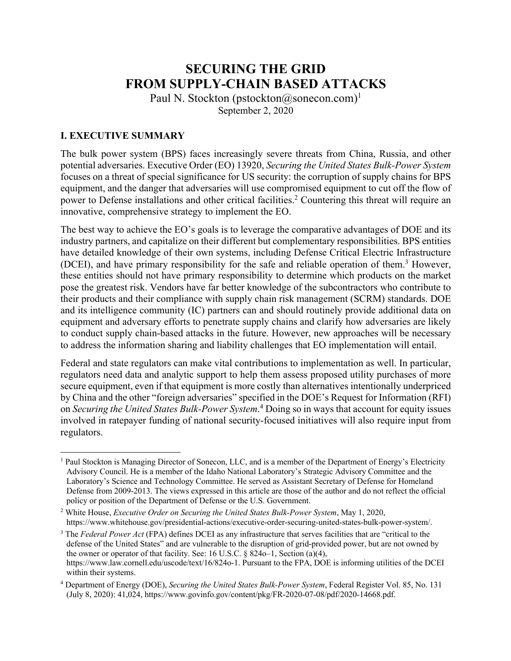# **SECURING THE GRID FROM SUPPLY-CHAIN BASED ATTACKS**

Paul N. Stockton (pstockton@sonecon.com)<sup>1</sup> September 2, 2020

## **I. EXECUTIVE SUMMARY**

The bulk power system (BPS) faces increasingly severe threats from China, Russia, and other potential adversaries. Executive Order (EO) 13920, *Securing the United States Bulk-Power System* focuses on a threat of special significance for US security: the corruption of supply chains for BPS equipment, and the danger that adversaries will use compromised equipment to cut off the flow of power to Defense installations and other critical facilities.<sup>2</sup> Countering this threat will require an innovative, comprehensive strategy to implement the EO.

The best way to achieve the EO's goals is to leverage the comparative advantages of DOE and its industry partners, and capitalize on their different but complementary responsibilities. BPS entities have detailed knowledge of their own systems, including Defense Critical Electric Infrastructure (DCEI), and have primary responsibility for the safe and reliable operation of them. <sup>3</sup> However, these entities should not have primary responsibility to determine which products on the market pose the greatest risk. Vendors have far better knowledge of the subcontractors who contribute to their products and their compliance with supply chain risk management (SCRM) standards. DOE and its intelligence community (IC) partners can and should routinely provide additional data on equipment and adversary efforts to penetrate supply chains and clarify how adversaries are likely to conduct supply chain-based attacks in the future. However, new approaches will be necessary to address the information sharing and liability challenges that EO implementation will entail.

Federal and state regulators can make vital contributions to implementation as well. In particular, regulators need data and analytic support to help them assess proposed utility purchases of more secure equipment, even if that equipment is more costly than alternatives intentionally underpriced by China and the other "foreign adversaries" specified in the DOE's Request for Information (RFI) on *Securing the United States Bulk-Power System*. <sup>4</sup> Doing so in ways that account for equity issues involved in ratepayer funding of national security-focused initiatives will also require input from regulators.

<sup>&</sup>lt;sup>1</sup> Paul Stockton is Managing Director of Sonecon, LLC, and is a member of the Department of Energy's Electricity Advisory Council. He is a member of the Idaho National Laboratory's Strategic Advisory Committee and the Laboratory's Science and Technology Committee. He served as Assistant Secretary of Defense for Homeland Defense from 2009-2013. The views expressed in this article are those of the author and do not reflect the official policy or position of the Department of Defense or the U.S. Government.

<sup>2</sup> White House, *Executive Order on Securing the United States Bulk-Power System*, May 1, 2020, https://www.whitehouse.gov/presidential-actions/executive-order-securing-united-states-bulk-power-system/.

<sup>3</sup> The *Federal Power Act* (FPA) defines DCEI as any infrastructure that serves facilities that are "critical to the defense of the United States" and are vulnerable to the disruption of grid-provided power, but are not owned by the owner or operator of that facility. See: 16 U.S.C. § 824o–1, Section (a)(4), https://www.law.cornell.edu/uscode/text/16/824o-1. Pursuant to the FPA, DOE is informing utilities of the DCEI within their systems.

<sup>4</sup> Department of Energy (DOE), *Securing the United States Bulk-Power System*, Federal Register Vol. 85, No. 131 (July 8, 2020): 41,024, https://www.govinfo.gov/content/pkg/FR-2020-07-08/pdf/2020-14668.pdf.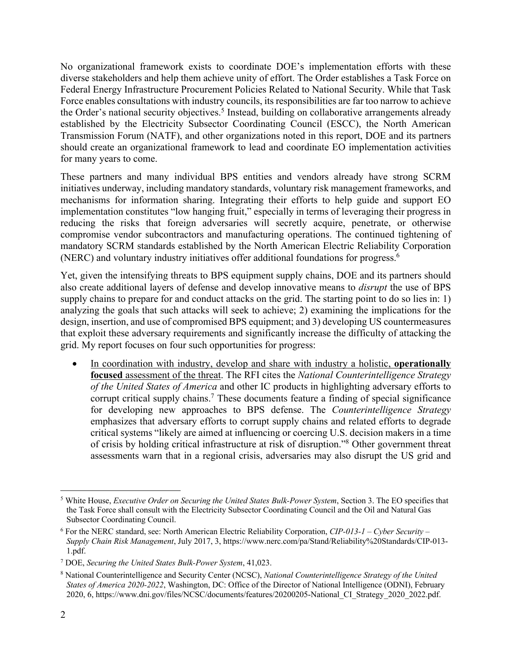No organizational framework exists to coordinate DOE's implementation efforts with these diverse stakeholders and help them achieve unity of effort. The Order establishes a Task Force on Federal Energy Infrastructure Procurement Policies Related to National Security. While that Task Force enables consultations with industry councils, its responsibilities are far too narrow to achieve the Order's national security objectives.<sup>5</sup> Instead, building on collaborative arrangements already established by the Electricity Subsector Coordinating Council (ESCC), the North American Transmission Forum (NATF), and other organizations noted in this report, DOE and its partners should create an organizational framework to lead and coordinate EO implementation activities for many years to come.

These partners and many individual BPS entities and vendors already have strong SCRM initiatives underway, including mandatory standards, voluntary risk management frameworks, and mechanisms for information sharing. Integrating their efforts to help guide and support EO implementation constitutes "low hanging fruit," especially in terms of leveraging their progress in reducing the risks that foreign adversaries will secretly acquire, penetrate, or otherwise compromise vendor subcontractors and manufacturing operations. The continued tightening of mandatory SCRM standards established by the North American Electric Reliability Corporation (NERC) and voluntary industry initiatives offer additional foundations for progress.6

Yet, given the intensifying threats to BPS equipment supply chains, DOE and its partners should also create additional layers of defense and develop innovative means to *disrupt* the use of BPS supply chains to prepare for and conduct attacks on the grid. The starting point to do so lies in: 1) analyzing the goals that such attacks will seek to achieve; 2) examining the implications for the design, insertion, and use of compromised BPS equipment; and 3) developing US countermeasures that exploit these adversary requirements and significantly increase the difficulty of attacking the grid. My report focuses on four such opportunities for progress:

• In coordination with industry, develop and share with industry a holistic, **operationally focused** assessment of the threat. The RFI cites the *National Counterintelligence Strategy of the United States of America* and other IC products in highlighting adversary efforts to corrupt critical supply chains.7 These documents feature a finding of special significance for developing new approaches to BPS defense. The *Counterintelligence Strategy* emphasizes that adversary efforts to corrupt supply chains and related efforts to degrade critical systems "likely are aimed at influencing or coercing U.S. decision makers in a time of crisis by holding critical infrastructure at risk of disruption."8 Other government threat assessments warn that in a regional crisis, adversaries may also disrupt the US grid and

<sup>5</sup> White House, *Executive Order on Securing the United States Bulk-Power System*, Section 3. The EO specifies that the Task Force shall consult with the Electricity Subsector Coordinating Council and the Oil and Natural Gas Subsector Coordinating Council.

<sup>6</sup> For the NERC standard, see: North American Electric Reliability Corporation, *CIP-013-1 – Cyber Security – Supply Chain Risk Management*, July 2017, 3, https://www.nerc.com/pa/Stand/Reliability%20Standards/CIP-013- 1.pdf.

<sup>7</sup> DOE, *Securing the United States Bulk-Power System*, 41,023.

<sup>8</sup> National Counterintelligence and Security Center (NCSC), *National Counterintelligence Strategy of the United States of America 2020-2022*, Washington, DC: Office of the Director of National Intelligence (ODNI), February 2020, 6, https://www.dni.gov/files/NCSC/documents/features/20200205-National\_CI\_Strategy\_2020\_2022.pdf.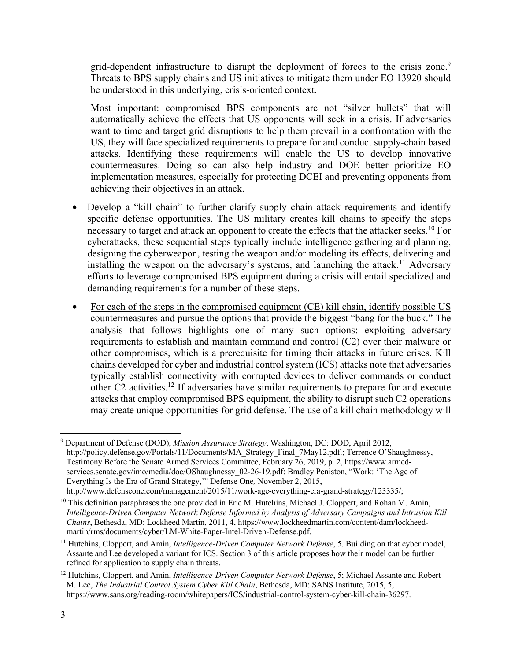grid-dependent infrastructure to disrupt the deployment of forces to the crisis zone.<sup>9</sup> Threats to BPS supply chains and US initiatives to mitigate them under EO 13920 should be understood in this underlying, crisis-oriented context.

Most important: compromised BPS components are not "silver bullets" that will automatically achieve the effects that US opponents will seek in a crisis. If adversaries want to time and target grid disruptions to help them prevail in a confrontation with the US, they will face specialized requirements to prepare for and conduct supply-chain based attacks. Identifying these requirements will enable the US to develop innovative countermeasures. Doing so can also help industry and DOE better prioritize EO implementation measures, especially for protecting DCEI and preventing opponents from achieving their objectives in an attack.

- Develop a "kill chain" to further clarify supply chain attack requirements and identify specific defense opportunities. The US military creates kill chains to specify the steps necessary to target and attack an opponent to create the effects that the attacker seeks.<sup>10</sup> For cyberattacks, these sequential steps typically include intelligence gathering and planning, designing the cyberweapon, testing the weapon and/or modeling its effects, delivering and installing the weapon on the adversary's systems, and launching the attack.<sup>11</sup> Adversary efforts to leverage compromised BPS equipment during a crisis will entail specialized and demanding requirements for a number of these steps.
- For each of the steps in the compromised equipment (CE) kill chain, identify possible US countermeasures and pursue the options that provide the biggest "bang for the buck." The analysis that follows highlights one of many such options: exploiting adversary requirements to establish and maintain command and control (C2) over their malware or other compromises, which is a prerequisite for timing their attacks in future crises. Kill chains developed for cyber and industrial control system (ICS) attacks note that adversaries typically establish connectivity with corrupted devices to deliver commands or conduct other C2 activities.12 If adversaries have similar requirements to prepare for and execute attacks that employ compromised BPS equipment, the ability to disrupt such C2 operations may create unique opportunities for grid defense. The use of a kill chain methodology will

<sup>9</sup> Department of Defense (DOD), *Mission Assurance Strategy*, Washington, DC: DOD, April 2012, http://policy.defense.gov/Portals/11/Documents/MA\_Strategy\_Final\_7May12.pdf.; Terrence O'Shaughnessy, Testimony Before the Senate Armed Services Committee, February 26, 2019, p. 2, https://www.armedservices.senate.gov/imo/media/doc/OShaughnessy\_02-26-19.pdf; Bradley Peniston, "Work: 'The Age of Everything Is the Era of Grand Strategy,'" Defense One*,* November 2, 2015, http://www.defenseone.com/management/2015/11/work-age-everything-era-grand-strategy/123335/;

 $10$  This definition paraphrases the one provided in Eric M. Hutchins, Michael J. Cloppert, and Rohan M. Amin, *Intelligence-Driven Computer Network Defense Informed by Analysis of Adversary Campaigns and Intrusion Kill Chains*, Bethesda, MD: Lockheed Martin, 2011, 4, https://www.lockheedmartin.com/content/dam/lockheedmartin/rms/documents/cyber/LM-White-Paper-Intel-Driven-Defense.pdf.

<sup>11</sup> Hutchins, Cloppert, and Amin, *Intelligence-Driven Computer Network Defense*, 5. Building on that cyber model, Assante and Lee developed a variant for ICS. Section 3 of this article proposes how their model can be further refined for application to supply chain threats.

<sup>12</sup> Hutchins, Cloppert, and Amin, *Intelligence-Driven Computer Network Defense*, 5; Michael Assante and Robert M. Lee, *The Industrial Control System Cyber Kill Chain*, Bethesda, MD: SANS Institute, 2015, 5, https://www.sans.org/reading-room/whitepapers/ICS/industrial-control-system-cyber-kill-chain-36297.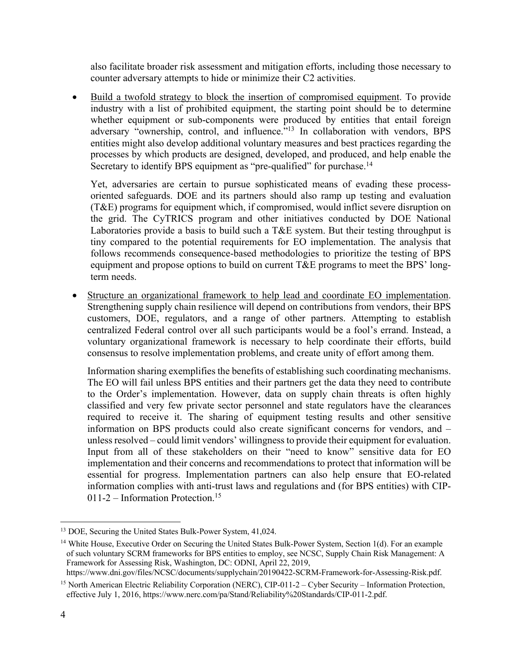also facilitate broader risk assessment and mitigation efforts, including those necessary to counter adversary attempts to hide or minimize their C2 activities.

• Build a twofold strategy to block the insertion of compromised equipment. To provide industry with a list of prohibited equipment, the starting point should be to determine whether equipment or sub-components were produced by entities that entail foreign adversary "ownership, control, and influence."<sup>13</sup> In collaboration with vendors, BPS entities might also develop additional voluntary measures and best practices regarding the processes by which products are designed, developed, and produced, and help enable the Secretary to identify BPS equipment as "pre-qualified" for purchase.<sup>14</sup>

Yet, adversaries are certain to pursue sophisticated means of evading these processoriented safeguards. DOE and its partners should also ramp up testing and evaluation (T&E) programs for equipment which, if compromised, would inflict severe disruption on the grid. The CyTRICS program and other initiatives conducted by DOE National Laboratories provide a basis to build such a T&E system. But their testing throughput is tiny compared to the potential requirements for EO implementation. The analysis that follows recommends consequence-based methodologies to prioritize the testing of BPS equipment and propose options to build on current T&E programs to meet the BPS' longterm needs.

• Structure an organizational framework to help lead and coordinate EO implementation. Strengthening supply chain resilience will depend on contributions from vendors, their BPS customers, DOE, regulators, and a range of other partners. Attempting to establish centralized Federal control over all such participants would be a fool's errand. Instead, a voluntary organizational framework is necessary to help coordinate their efforts, build consensus to resolve implementation problems, and create unity of effort among them.

Information sharing exemplifies the benefits of establishing such coordinating mechanisms. The EO will fail unless BPS entities and their partners get the data they need to contribute to the Order's implementation. However, data on supply chain threats is often highly classified and very few private sector personnel and state regulators have the clearances required to receive it. The sharing of equipment testing results and other sensitive information on BPS products could also create significant concerns for vendors, and – unless resolved – could limit vendors' willingness to provide their equipment for evaluation. Input from all of these stakeholders on their "need to know" sensitive data for EO implementation and their concerns and recommendations to protect that information will be essential for progress. Implementation partners can also help ensure that EO-related information complies with anti-trust laws and regulations and (for BPS entities) with CIP- $011-2$  – Information Protection.<sup>15</sup>

https://www.dni.gov/files/NCSC/documents/supplychain/20190422-SCRM-Framework-for-Assessing-Risk.pdf.

<sup>&</sup>lt;sup>13</sup> DOE, Securing the United States Bulk-Power System, 41,024.

<sup>&</sup>lt;sup>14</sup> White House, Executive Order on Securing the United States Bulk-Power System, Section 1(d). For an example of such voluntary SCRM frameworks for BPS entities to employ, see NCSC, Supply Chain Risk Management: A Framework for Assessing Risk, Washington, DC: ODNI, April 22, 2019,

<sup>15</sup> North American Electric Reliability Corporation (NERC), CIP-011-2 – Cyber Security – Information Protection, effective July 1, 2016, https://www.nerc.com/pa/Stand/Reliability%20Standards/CIP-011-2.pdf.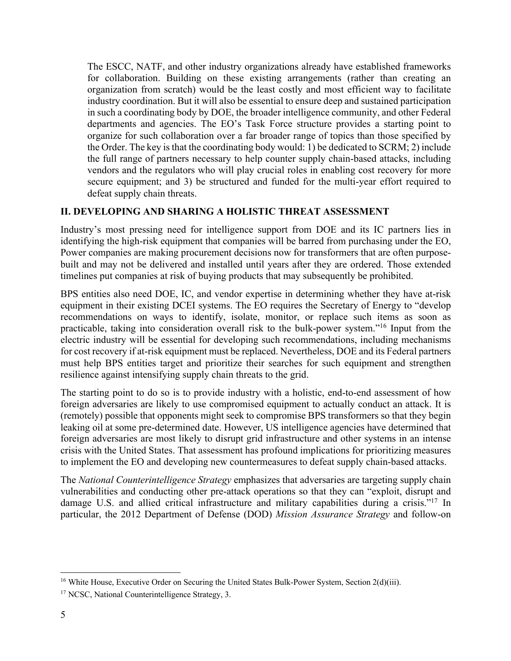The ESCC, NATF, and other industry organizations already have established frameworks for collaboration. Building on these existing arrangements (rather than creating an organization from scratch) would be the least costly and most efficient way to facilitate industry coordination. But it will also be essential to ensure deep and sustained participation in such a coordinating body by DOE, the broader intelligence community, and other Federal departments and agencies. The EO's Task Force structure provides a starting point to organize for such collaboration over a far broader range of topics than those specified by the Order. The key is that the coordinating body would: 1) be dedicated to SCRM; 2) include the full range of partners necessary to help counter supply chain-based attacks, including vendors and the regulators who will play crucial roles in enabling cost recovery for more secure equipment; and 3) be structured and funded for the multi-year effort required to defeat supply chain threats.

#### **II. DEVELOPING AND SHARING A HOLISTIC THREAT ASSESSMENT**

Industry's most pressing need for intelligence support from DOE and its IC partners lies in identifying the high-risk equipment that companies will be barred from purchasing under the EO, Power companies are making procurement decisions now for transformers that are often purposebuilt and may not be delivered and installed until years after they are ordered. Those extended timelines put companies at risk of buying products that may subsequently be prohibited.

BPS entities also need DOE, IC, and vendor expertise in determining whether they have at-risk equipment in their existing DCEI systems. The EO requires the Secretary of Energy to "develop recommendations on ways to identify, isolate, monitor, or replace such items as soon as practicable, taking into consideration overall risk to the bulk-power system."16 Input from the electric industry will be essential for developing such recommendations, including mechanisms for cost recovery if at-risk equipment must be replaced. Nevertheless, DOE and its Federal partners must help BPS entities target and prioritize their searches for such equipment and strengthen resilience against intensifying supply chain threats to the grid.

The starting point to do so is to provide industry with a holistic, end-to-end assessment of how foreign adversaries are likely to use compromised equipment to actually conduct an attack. It is (remotely) possible that opponents might seek to compromise BPS transformers so that they begin leaking oil at some pre-determined date. However, US intelligence agencies have determined that foreign adversaries are most likely to disrupt grid infrastructure and other systems in an intense crisis with the United States. That assessment has profound implications for prioritizing measures to implement the EO and developing new countermeasures to defeat supply chain-based attacks.

The *National Counterintelligence Strategy* emphasizes that adversaries are targeting supply chain vulnerabilities and conducting other pre-attack operations so that they can "exploit, disrupt and damage U.S. and allied critical infrastructure and military capabilities during a crisis."<sup>17</sup> In particular, the 2012 Department of Defense (DOD) *Mission Assurance Strategy* and follow-on

<sup>&</sup>lt;sup>16</sup> White House, Executive Order on Securing the United States Bulk-Power System, Section 2(d)(iii).

<sup>&</sup>lt;sup>17</sup> NCSC, National Counterintelligence Strategy, 3.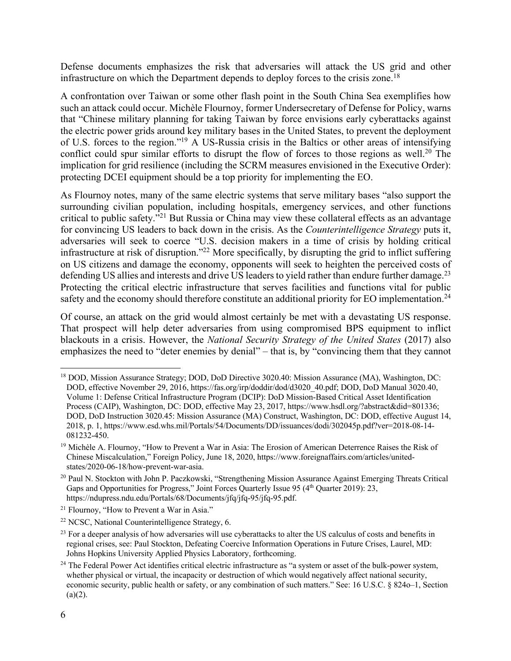Defense documents emphasizes the risk that adversaries will attack the US grid and other infrastructure on which the Department depends to deploy forces to the crisis zone.<sup>18</sup>

A confrontation over Taiwan or some other flash point in the South China Sea exemplifies how such an attack could occur. Michèle Flournoy, former Undersecretary of Defense for Policy, warns that "Chinese military planning for taking Taiwan by force envisions early cyberattacks against the electric power grids around key military bases in the United States, to prevent the deployment of U.S. forces to the region."19 A US-Russia crisis in the Baltics or other areas of intensifying conflict could spur similar efforts to disrupt the flow of forces to those regions as well.<sup>20</sup> The implication for grid resilience (including the SCRM measures envisioned in the Executive Order): protecting DCEI equipment should be a top priority for implementing the EO.

As Flournoy notes, many of the same electric systems that serve military bases "also support the surrounding civilian population, including hospitals, emergency services, and other functions critical to public safety."21 But Russia or China may view these collateral effects as an advantage for convincing US leaders to back down in the crisis. As the *Counterintelligence Strategy* puts it, adversaries will seek to coerce "U.S. decision makers in a time of crisis by holding critical infrastructure at risk of disruption."22 More specifically, by disrupting the grid to inflict suffering on US citizens and damage the economy, opponents will seek to heighten the perceived costs of defending US allies and interests and drive US leaders to yield rather than endure further damage.<sup>23</sup> Protecting the critical electric infrastructure that serves facilities and functions vital for public safety and the economy should therefore constitute an additional priority for EO implementation.<sup>24</sup>

Of course, an attack on the grid would almost certainly be met with a devastating US response. That prospect will help deter adversaries from using compromised BPS equipment to inflict blackouts in a crisis. However, the *National Security Strategy of the United States* (2017) also emphasizes the need to "deter enemies by denial" – that is, by "convincing them that they cannot

<sup>18</sup> DOD, Mission Assurance Strategy; DOD, DoD Directive 3020.40: Mission Assurance (MA), Washington, DC: DOD, effective November 29, 2016, https://fas.org/irp/doddir/dod/d3020\_40.pdf; DOD, DoD Manual 3020.40, Volume 1: Defense Critical Infrastructure Program (DCIP): DoD Mission-Based Critical Asset Identification Process (CAIP), Washington, DC: DOD, effective May 23, 2017, https://www.hsdl.org/?abstract&did=801336; DOD, DoD Instruction 3020.45: Mission Assurance (MA) Construct, Washington, DC: DOD, effective August 14, 2018, p. 1, https://www.esd.whs.mil/Portals/54/Documents/DD/issuances/dodi/302045p.pdf?ver=2018-08-14- 081232-450.

<sup>&</sup>lt;sup>19</sup> Michèle A. Flournoy, "How to Prevent a War in Asia: The Erosion of American Deterrence Raises the Risk of Chinese Miscalculation," Foreign Policy, June 18, 2020, https://www.foreignaffairs.com/articles/unitedstates/2020-06-18/how-prevent-war-asia.

<sup>20</sup> Paul N. Stockton with John P. Paczkowski, "Strengthening Mission Assurance Against Emerging Threats Critical Gaps and Opportunities for Progress," Joint Forces Quarterly Issue 95 (4<sup>th</sup> Quarter 2019): 23, https://ndupress.ndu.edu/Portals/68/Documents/jfq/jfq-95/jfq-95.pdf.

<sup>&</sup>lt;sup>21</sup> Flournoy, "How to Prevent a War in Asia."

<sup>22</sup> NCSC, National Counterintelligence Strategy, 6.

<sup>&</sup>lt;sup>23</sup> For a deeper analysis of how adversaries will use cyberattacks to alter the US calculus of costs and benefits in regional crises, see: Paul Stockton, Defeating Coercive Information Operations in Future Crises, Laurel, MD: Johns Hopkins University Applied Physics Laboratory, forthcoming.

<sup>&</sup>lt;sup>24</sup> The Federal Power Act identifies critical electric infrastructure as "a system or asset of the bulk-power system, whether physical or virtual, the incapacity or destruction of which would negatively affect national security, economic security, public health or safety, or any combination of such matters." See: 16 U.S.C. § 824o–1, Section  $(a)(2)$ .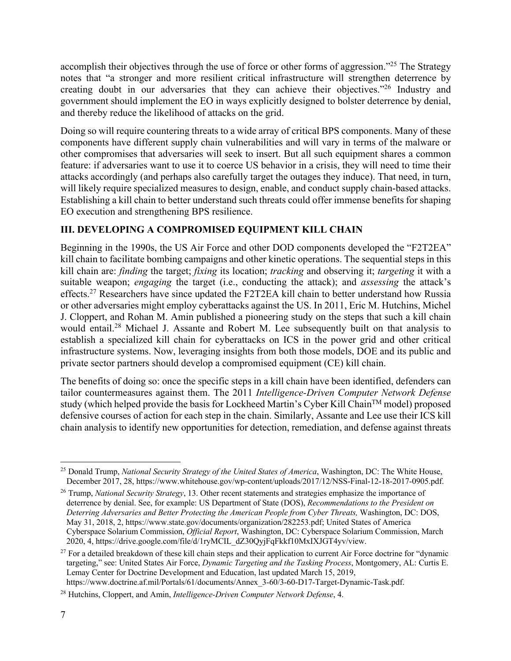accomplish their objectives through the use of force or other forms of aggression."<sup>25</sup> The Strategy notes that "a stronger and more resilient critical infrastructure will strengthen deterrence by creating doubt in our adversaries that they can achieve their objectives."26 Industry and government should implement the EO in ways explicitly designed to bolster deterrence by denial, and thereby reduce the likelihood of attacks on the grid.

Doing so will require countering threats to a wide array of critical BPS components. Many of these components have different supply chain vulnerabilities and will vary in terms of the malware or other compromises that adversaries will seek to insert. But all such equipment shares a common feature: if adversaries want to use it to coerce US behavior in a crisis, they will need to time their attacks accordingly (and perhaps also carefully target the outages they induce). That need, in turn, will likely require specialized measures to design, enable, and conduct supply chain-based attacks. Establishing a kill chain to better understand such threats could offer immense benefits for shaping EO execution and strengthening BPS resilience.

# **III. DEVELOPING A COMPROMISED EQUIPMENT KILL CHAIN**

Beginning in the 1990s, the US Air Force and other DOD components developed the "F2T2EA" kill chain to facilitate bombing campaigns and other kinetic operations. The sequential steps in this kill chain are: *finding* the target; *fixing* its location; *tracking* and observing it; *targeting* it with a suitable weapon; *engaging* the target (i.e., conducting the attack); and *assessing* the attack's effects.27 Researchers have since updated the F2T2EA kill chain to better understand how Russia or other adversaries might employ cyberattacks against the US. In 2011, Eric M. Hutchins, Michel J. Cloppert, and Rohan M. Amin published a pioneering study on the steps that such a kill chain would entail.<sup>28</sup> Michael J. Assante and Robert M. Lee subsequently built on that analysis to establish a specialized kill chain for cyberattacks on ICS in the power grid and other critical infrastructure systems. Now, leveraging insights from both those models, DOE and its public and private sector partners should develop a compromised equipment (CE) kill chain.

The benefits of doing so: once the specific steps in a kill chain have been identified, defenders can tailor countermeasures against them. The 2011 *Intelligence-Driven Computer Network Defense* study (which helped provide the basis for Lockheed Martin's Cyber Kill Chain<sup>TM</sup> model) proposed defensive courses of action for each step in the chain. Similarly, Assante and Lee use their ICS kill chain analysis to identify new opportunities for detection, remediation, and defense against threats

<sup>25</sup> Donald Trump, *National Security Strategy of the United States of America*, Washington, DC: The White House, December 2017, 28, https://www.whitehouse.gov/wp-content/uploads/2017/12/NSS-Final-12-18-2017-0905.pdf.

<sup>26</sup> Trump, *National Security Strategy*, 13. Other recent statements and strategies emphasize the importance of deterrence by denial. See, for example: US Department of State (DOS), *Recommendations to the President on Deterring Adversaries and Better Protecting the American People from Cyber Threats,* Washington, DC: DOS, May 31, 2018, 2, https://www.state.gov/documents/organization/282253.pdf; United States of America Cyberspace Solarium Commission, *Official Report*, Washington, DC: Cyberspace Solarium Commission, March 2020, 4, https://drive.google.com/file/d/1ryMCIL\_dZ30QyjFqFkkf10MxIXJGT4yv/view.

 $27$  For a detailed breakdown of these kill chain steps and their application to current Air Force doctrine for "dynamic" targeting," see: United States Air Force, *Dynamic Targeting and the Tasking Process*, Montgomery, AL: Curtis E. Lemay Center for Doctrine Development and Education, last updated March 15, 2019,

https://www.doctrine.af.mil/Portals/61/documents/Annex\_3-60/3-60-D17-Target-Dynamic-Task.pdf.

<sup>28</sup> Hutchins, Cloppert, and Amin, *Intelligence-Driven Computer Network Defense*, 4.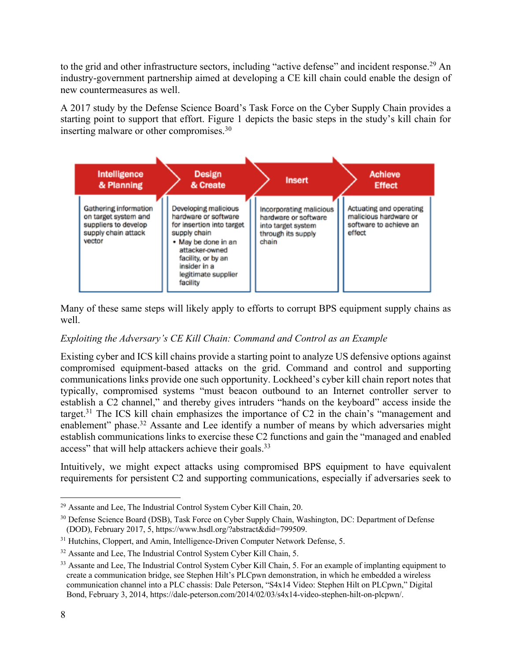to the grid and other infrastructure sectors, including "active defense" and incident response.<sup>29</sup> An industry-government partnership aimed at developing a CE kill chain could enable the design of new countermeasures as well.

A 2017 study by the Defense Science Board's Task Force on the Cyber Supply Chain provides a starting point to support that effort. Figure 1 depicts the basic steps in the study's kill chain for inserting malware or other compromises.<sup>30</sup>

| Intelligence<br>& Planning                                                                             | <b>Design</b><br>& Create                                                                                                                                                                                   | <b>Insert</b>                                                                                        | <b>Achieve</b><br><b>Effect</b>                                                      |
|--------------------------------------------------------------------------------------------------------|-------------------------------------------------------------------------------------------------------------------------------------------------------------------------------------------------------------|------------------------------------------------------------------------------------------------------|--------------------------------------------------------------------------------------|
| Gathering information<br>on target system and<br>suppliers to develop<br>supply chain attack<br>vector | Developing malicious<br>hardware or software<br>for insertion into target<br>supply chain<br>• May be done in an<br>attacker-owned<br>facility, or by an<br>insider in a<br>legitimate supplier<br>facility | Incorporating malicious<br>hardware or software<br>into target system<br>through its supply<br>chain | Actuating and operating<br>malicious hardware or<br>software to achieve an<br>effect |

Many of these same steps will likely apply to efforts to corrupt BPS equipment supply chains as well.

## *Exploiting the Adversary's CE Kill Chain: Command and Control as an Example*

Existing cyber and ICS kill chains provide a starting point to analyze US defensive options against compromised equipment-based attacks on the grid. Command and control and supporting communications links provide one such opportunity. Lockheed's cyber kill chain report notes that typically, compromised systems "must beacon outbound to an Internet controller server to establish a C2 channel," and thereby gives intruders "hands on the keyboard" access inside the target.<sup>31</sup> The ICS kill chain emphasizes the importance of C2 in the chain's "management and enablement" phase.<sup>32</sup> Assante and Lee identify a number of means by which adversaries might establish communications links to exercise these C2 functions and gain the "managed and enabled access" that will help attackers achieve their goals.<sup>33</sup>

Intuitively, we might expect attacks using compromised BPS equipment to have equivalent requirements for persistent C2 and supporting communications, especially if adversaries seek to

<sup>29</sup> Assante and Lee, The Industrial Control System Cyber Kill Chain, 20.

<sup>&</sup>lt;sup>30</sup> Defense Science Board (DSB), Task Force on Cyber Supply Chain, Washington, DC: Department of Defense (DOD), February 2017, 5, https://www.hsdl.org/?abstract&did=799509.

<sup>&</sup>lt;sup>31</sup> Hutchins, Cloppert, and Amin, Intelligence-Driven Computer Network Defense, 5.

<sup>&</sup>lt;sup>32</sup> Assante and Lee, The Industrial Control System Cyber Kill Chain, 5.

<sup>&</sup>lt;sup>33</sup> Assante and Lee, The Industrial Control System Cyber Kill Chain, 5. For an example of implanting equipment to create a communication bridge, see Stephen Hilt's PLCpwn demonstration, in which he embedded a wireless communication channel into a PLC chassis: Dale Peterson, "S4x14 Video: Stephen Hilt on PLCpwn," Digital Bond, February 3, 2014, https://dale-peterson.com/2014/02/03/s4x14-video-stephen-hilt-on-plcpwn/.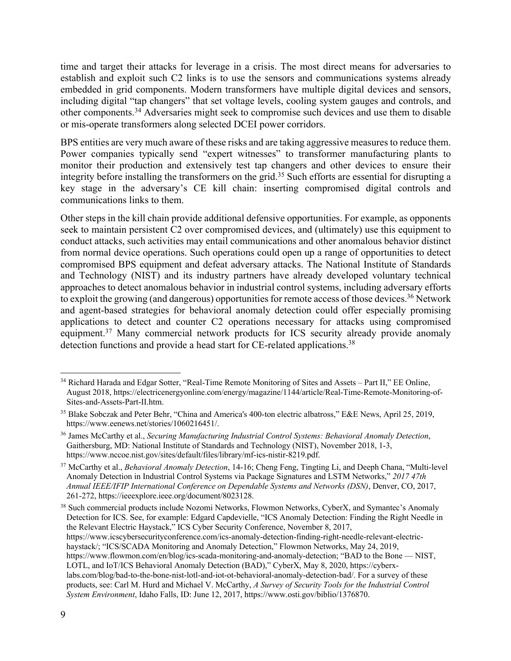time and target their attacks for leverage in a crisis. The most direct means for adversaries to establish and exploit such C2 links is to use the sensors and communications systems already embedded in grid components. Modern transformers have multiple digital devices and sensors, including digital "tap changers" that set voltage levels, cooling system gauges and controls, and other components.<sup>34</sup> Adversaries might seek to compromise such devices and use them to disable or mis-operate transformers along selected DCEI power corridors.

BPS entities are very much aware of these risks and are taking aggressive measures to reduce them. Power companies typically send "expert witnesses" to transformer manufacturing plants to monitor their production and extensively test tap changers and other devices to ensure their integrity before installing the transformers on the grid.35 Such efforts are essential for disrupting a key stage in the adversary's CE kill chain: inserting compromised digital controls and communications links to them.

Other steps in the kill chain provide additional defensive opportunities. For example, as opponents seek to maintain persistent C2 over compromised devices, and (ultimately) use this equipment to conduct attacks, such activities may entail communications and other anomalous behavior distinct from normal device operations. Such operations could open up a range of opportunities to detect compromised BPS equipment and defeat adversary attacks. The National Institute of Standards and Technology (NIST) and its industry partners have already developed voluntary technical approaches to detect anomalous behavior in industrial control systems, including adversary efforts to exploit the growing (and dangerous) opportunities for remote access of those devices.<sup>36</sup> Network and agent-based strategies for behavioral anomaly detection could offer especially promising applications to detect and counter C2 operations necessary for attacks using compromised equipment.<sup>37</sup> Many commercial network products for ICS security already provide anomaly detection functions and provide a head start for CE-related applications.<sup>38</sup>

<sup>38</sup> Such commercial products include Nozomi Networks, Flowmon Networks, CyberX, and Symantec's Anomaly Detection for ICS. See, for example: Edgard Capdevielle, "ICS Anomaly Detection: Finding the Right Needle in the Relevant Electric Haystack," ICS Cyber Security Conference, November 8, 2017, https://www.icscybersecurityconference.com/ics-anomaly-detection-finding-right-needle-relevant-electrichaystack/; "ICS/SCADA Monitoring and Anomaly Detection," Flowmon Networks, May 24, 2019, https://www.flowmon.com/en/blog/ics-scada-monitoring-and-anomaly-detection; "BAD to the Bone — NIST, LOTL, and IoT/ICS Behavioral Anomaly Detection (BAD)," CyberX, May 8, 2020, https://cyberxlabs.com/blog/bad-to-the-bone-nist-lotl-and-iot-ot-behavioral-anomaly-detection-bad/. For a survey of these products, see: Carl M. Hurd and Michael V. McCarthy, *A Survey of Security Tools for the Industrial Control System Environment*, Idaho Falls, ID: June 12, 2017, https://www.osti.gov/biblio/1376870.

<sup>&</sup>lt;sup>34</sup> Richard Harada and Edgar Sotter, "Real-Time Remote Monitoring of Sites and Assets – Part II," EE Online, August 2018, https://electricenergyonline.com/energy/magazine/1144/article/Real-Time-Remote-Monitoring-of-Sites-and-Assets-Part-II.htm.

<sup>35</sup> Blake Sobczak and Peter Behr, "China and America's 400-ton electric albatross," E&E News, April 25, 2019, https://www.eenews.net/stories/1060216451/.

<sup>36</sup> James McCarthy et al., *Securing Manufacturing Industrial Control Systems: Behavioral Anomaly Detection*, Gaithersburg, MD: National Institute of Standards and Technology (NIST), November 2018, 1-3, https://www.nccoe.nist.gov/sites/default/files/library/mf-ics-nistir-8219.pdf.

<sup>37</sup> McCarthy et al., *Behavioral Anomaly Detection*, 14-16; Cheng Feng, Tingting Li, and Deeph Chana, "Multi-level Anomaly Detection in Industrial Control Systems via Package Signatures and LSTM Networks," *2017 47th Annual IEEE/IFIP International Conference on Dependable Systems and Networks (DSN)*, Denver, CO, 2017, 261-272, https://ieeexplore.ieee.org/document/8023128.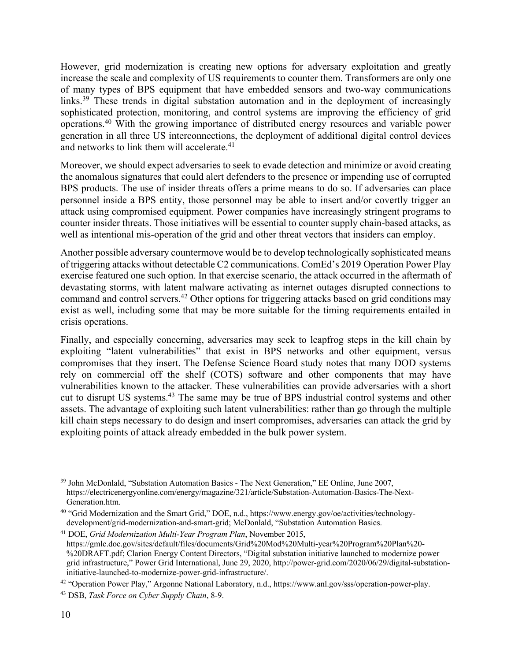However, grid modernization is creating new options for adversary exploitation and greatly increase the scale and complexity of US requirements to counter them. Transformers are only one of many types of BPS equipment that have embedded sensors and two-way communications links.<sup>39</sup> These trends in digital substation automation and in the deployment of increasingly sophisticated protection, monitoring, and control systems are improving the efficiency of grid operations.40 With the growing importance of distributed energy resources and variable power generation in all three US interconnections, the deployment of additional digital control devices and networks to link them will accelerate. 41

Moreover, we should expect adversaries to seek to evade detection and minimize or avoid creating the anomalous signatures that could alert defenders to the presence or impending use of corrupted BPS products. The use of insider threats offers a prime means to do so. If adversaries can place personnel inside a BPS entity, those personnel may be able to insert and/or covertly trigger an attack using compromised equipment. Power companies have increasingly stringent programs to counter insider threats. Those initiatives will be essential to counter supply chain-based attacks, as well as intentional mis-operation of the grid and other threat vectors that insiders can employ.

Another possible adversary countermove would be to develop technologically sophisticated means of triggering attacks without detectable C2 communications. ComEd's 2019 Operation Power Play exercise featured one such option. In that exercise scenario, the attack occurred in the aftermath of devastating storms, with latent malware activating as internet outages disrupted connections to command and control servers.42 Other options for triggering attacks based on grid conditions may exist as well, including some that may be more suitable for the timing requirements entailed in crisis operations.

Finally, and especially concerning, adversaries may seek to leapfrog steps in the kill chain by exploiting "latent vulnerabilities" that exist in BPS networks and other equipment, versus compromises that they insert. The Defense Science Board study notes that many DOD systems rely on commercial off the shelf (COTS) software and other components that may have vulnerabilities known to the attacker. These vulnerabilities can provide adversaries with a short cut to disrupt US systems.43 The same may be true of BPS industrial control systems and other assets. The advantage of exploiting such latent vulnerabilities: rather than go through the multiple kill chain steps necessary to do design and insert compromises, adversaries can attack the grid by exploiting points of attack already embedded in the bulk power system.

<sup>39</sup> John McDonlald, "Substation Automation Basics - The Next Generation," EE Online, June 2007, https://electricenergyonline.com/energy/magazine/321/article/Substation-Automation-Basics-The-Next-Generation.htm.

<sup>40</sup> "Grid Modernization and the Smart Grid," DOE, n.d., https://www.energy.gov/oe/activities/technologydevelopment/grid-modernization-and-smart-grid; McDonlald, "Substation Automation Basics.

<sup>41</sup> DOE, *Grid Modernization Multi-Year Program Plan*, November 2015, https://gmlc.doe.gov/sites/default/files/documents/Grid%20Mod%20Multi-year%20Program%20Plan%20- %20DRAFT.pdf; Clarion Energy Content Directors, "Digital substation initiative launched to modernize power grid infrastructure," Power Grid International, June 29, 2020, http://power-grid.com/2020/06/29/digital-substationinitiative-launched-to-modernize-power-grid-infrastructure/.

<sup>42</sup> "Operation Power Play," Argonne National Laboratory, n.d., https://www.anl.gov/sss/operation-power-play.

<sup>43</sup> DSB, *Task Force on Cyber Supply Chain*, 8-9.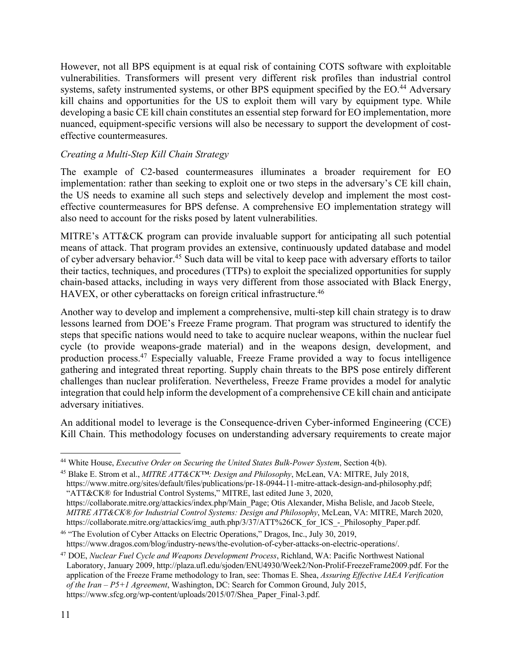However, not all BPS equipment is at equal risk of containing COTS software with exploitable vulnerabilities. Transformers will present very different risk profiles than industrial control systems, safety instrumented systems, or other BPS equipment specified by the EO.<sup>44</sup> Adversary kill chains and opportunities for the US to exploit them will vary by equipment type. While developing a basic CE kill chain constitutes an essential step forward for EO implementation, more nuanced, equipment-specific versions will also be necessary to support the development of costeffective countermeasures.

## *Creating a Multi-Step Kill Chain Strategy*

The example of C2-based countermeasures illuminates a broader requirement for EO implementation: rather than seeking to exploit one or two steps in the adversary's CE kill chain, the US needs to examine all such steps and selectively develop and implement the most costeffective countermeasures for BPS defense. A comprehensive EO implementation strategy will also need to account for the risks posed by latent vulnerabilities.

MITRE's ATT&CK program can provide invaluable support for anticipating all such potential means of attack. That program provides an extensive, continuously updated database and model of cyber adversary behavior.45 Such data will be vital to keep pace with adversary efforts to tailor their tactics, techniques, and procedures (TTPs) to exploit the specialized opportunities for supply chain-based attacks, including in ways very different from those associated with Black Energy, HAVEX, or other cyberattacks on foreign critical infrastructure.<sup>46</sup>

Another way to develop and implement a comprehensive, multi-step kill chain strategy is to draw lessons learned from DOE's Freeze Frame program. That program was structured to identify the steps that specific nations would need to take to acquire nuclear weapons, within the nuclear fuel cycle (to provide weapons-grade material) and in the weapons design, development, and production process.47 Especially valuable, Freeze Frame provided a way to focus intelligence gathering and integrated threat reporting. Supply chain threats to the BPS pose entirely different challenges than nuclear proliferation. Nevertheless, Freeze Frame provides a model for analytic integration that could help inform the development of a comprehensive CE kill chain and anticipate adversary initiatives.

An additional model to leverage is the Consequence-driven Cyber-informed Engineering (CCE) Kill Chain. This methodology focuses on understanding adversary requirements to create major

<sup>45</sup> Blake E. Strom et al., *MITRE ATT&CK™: Design and Philosophy*, McLean, VA: MITRE, July 2018, https://www.mitre.org/sites/default/files/publications/pr-18-0944-11-mitre-attack-design-and-philosophy.pdf; "ATT&CK® for Industrial Control Systems," MITRE, last edited June 3, 2020, https://collaborate.mitre.org/attackics/index.php/Main\_Page; Otis Alexander, Misha Belisle, and Jacob Steele, *MITRE ATT&CK® for Industrial Control Systems: Design and Philosophy*, McLean, VA: MITRE, March 2020, https://collaborate.mitre.org/attackics/img\_auth.php/3/37/ATT%26CK\_for\_ICS - Philosophy\_Paper.pdf.

<sup>44</sup> White House, *Executive Order on Securing the United States Bulk-Power System*, Section 4(b).

<sup>46</sup> "The Evolution of Cyber Attacks on Electric Operations," Dragos, Inc., July 30, 2019, https://www.dragos.com/blog/industry-news/the-evolution-of-cyber-attacks-on-electric-operations/.

<sup>47</sup> DOE, *Nuclear Fuel Cycle and Weapons Development Process*, Richland, WA: Pacific Northwest National Laboratory, January 2009, http://plaza.ufl.edu/sjoden/ENU4930/Week2/Non-Prolif-FreezeFrame2009.pdf. For the application of the Freeze Frame methodology to Iran, see: Thomas E. Shea, *Assuring Effective IAEA Verification of the Iran – P5+1 Agreement*, Washington, DC: Search for Common Ground, July 2015, https://www.sfcg.org/wp-content/uploads/2015/07/Shea\_Paper\_Final-3.pdf.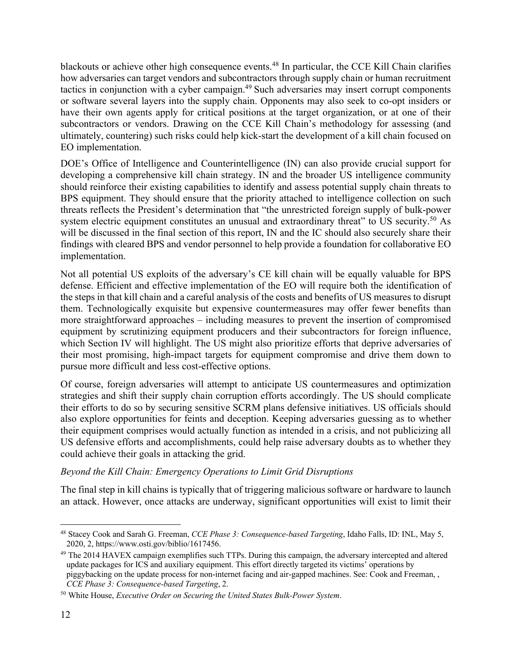blackouts or achieve other high consequence events.48 In particular, the CCE Kill Chain clarifies how adversaries can target vendors and subcontractors through supply chain or human recruitment tactics in conjunction with a cyber campaign.<sup>49</sup> Such adversaries may insert corrupt components or software several layers into the supply chain. Opponents may also seek to co-opt insiders or have their own agents apply for critical positions at the target organization, or at one of their subcontractors or vendors. Drawing on the CCE Kill Chain's methodology for assessing (and ultimately, countering) such risks could help kick-start the development of a kill chain focused on EO implementation.

DOE's Office of Intelligence and Counterintelligence (IN) can also provide crucial support for developing a comprehensive kill chain strategy. IN and the broader US intelligence community should reinforce their existing capabilities to identify and assess potential supply chain threats to BPS equipment. They should ensure that the priority attached to intelligence collection on such threats reflects the President's determination that "the unrestricted foreign supply of bulk-power system electric equipment constitutes an unusual and extraordinary threat" to US security.<sup>50</sup> As will be discussed in the final section of this report, IN and the IC should also securely share their findings with cleared BPS and vendor personnel to help provide a foundation for collaborative EO implementation.

Not all potential US exploits of the adversary's CE kill chain will be equally valuable for BPS defense. Efficient and effective implementation of the EO will require both the identification of the steps in that kill chain and a careful analysis of the costs and benefits of US measures to disrupt them. Technologically exquisite but expensive countermeasures may offer fewer benefits than more straightforward approaches – including measures to prevent the insertion of compromised equipment by scrutinizing equipment producers and their subcontractors for foreign influence, which Section IV will highlight. The US might also prioritize efforts that deprive adversaries of their most promising, high-impact targets for equipment compromise and drive them down to pursue more difficult and less cost-effective options.

Of course, foreign adversaries will attempt to anticipate US countermeasures and optimization strategies and shift their supply chain corruption efforts accordingly. The US should complicate their efforts to do so by securing sensitive SCRM plans defensive initiatives. US officials should also explore opportunities for feints and deception. Keeping adversaries guessing as to whether their equipment comprises would actually function as intended in a crisis, and not publicizing all US defensive efforts and accomplishments, could help raise adversary doubts as to whether they could achieve their goals in attacking the grid.

### *Beyond the Kill Chain: Emergency Operations to Limit Grid Disruptions*

The final step in kill chains is typically that of triggering malicious software or hardware to launch an attack. However, once attacks are underway, significant opportunities will exist to limit their

<sup>48</sup> Stacey Cook and Sarah G. Freeman, *CCE Phase 3: Consequence-based Targeting*, Idaho Falls, ID: INL, May 5, 2020, 2, https://www.osti.gov/biblio/1617456.

<sup>&</sup>lt;sup>49</sup> The 2014 HAVEX campaign exemplifies such TTPs. During this campaign, the adversary intercepted and altered update packages for ICS and auxiliary equipment. This effort directly targeted its victims' operations by piggybacking on the update process for non-internet facing and air-gapped machines. See: Cook and Freeman, , *CCE Phase 3: Consequence-based Targeting*, 2.

<sup>50</sup> White House, *Executive Order on Securing the United States Bulk-Power System*.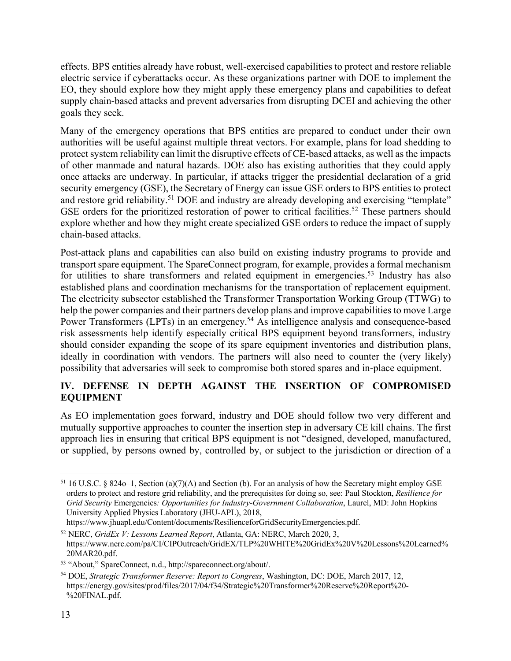effects. BPS entities already have robust, well-exercised capabilities to protect and restore reliable electric service if cyberattacks occur. As these organizations partner with DOE to implement the EO, they should explore how they might apply these emergency plans and capabilities to defeat supply chain-based attacks and prevent adversaries from disrupting DCEI and achieving the other goals they seek.

Many of the emergency operations that BPS entities are prepared to conduct under their own authorities will be useful against multiple threat vectors. For example, plans for load shedding to protect system reliability can limit the disruptive effects of CE-based attacks, as well as the impacts of other manmade and natural hazards. DOE also has existing authorities that they could apply once attacks are underway. In particular, if attacks trigger the presidential declaration of a grid security emergency (GSE), the Secretary of Energy can issue GSE orders to BPS entities to protect and restore grid reliability.<sup>51</sup> DOE and industry are already developing and exercising "template" GSE orders for the prioritized restoration of power to critical facilities.<sup>52</sup> These partners should explore whether and how they might create specialized GSE orders to reduce the impact of supply chain-based attacks.

Post-attack plans and capabilities can also build on existing industry programs to provide and transport spare equipment. The SpareConnect program, for example, provides a formal mechanism for utilities to share transformers and related equipment in emergencies.<sup>53</sup> Industry has also established plans and coordination mechanisms for the transportation of replacement equipment. The electricity subsector established the Transformer Transportation Working Group (TTWG) to help the power companies and their partners develop plans and improve capabilities to move Large Power Transformers (LPTs) in an emergency.<sup>54</sup> As intelligence analysis and consequence-based risk assessments help identify especially critical BPS equipment beyond transformers, industry should consider expanding the scope of its spare equipment inventories and distribution plans, ideally in coordination with vendors. The partners will also need to counter the (very likely) possibility that adversaries will seek to compromise both stored spares and in-place equipment.

## **IV. DEFENSE IN DEPTH AGAINST THE INSERTION OF COMPROMISED EQUIPMENT**

As EO implementation goes forward, industry and DOE should follow two very different and mutually supportive approaches to counter the insertion step in adversary CE kill chains. The first approach lies in ensuring that critical BPS equipment is not "designed, developed, manufactured, or supplied, by persons owned by, controlled by, or subject to the jurisdiction or direction of a

 $51$  16 U.S.C. § 824o–1, Section (a)(7)(A) and Section (b). For an analysis of how the Secretary might employ GSE orders to protect and restore grid reliability, and the prerequisites for doing so, see: Paul Stockton, *Resilience for Grid Security* Emergencies*: Opportunities for Industry-Government Collaboration*, Laurel, MD: John Hopkins University Applied Physics Laboratory (JHU-APL), 2018,

https://www.jhuapl.edu/Content/documents/ResilienceforGridSecurityEmergencies.pdf.

<sup>52</sup> NERC, *GridEx V: Lessons Learned Report*, Atlanta, GA: NERC, March 2020, 3, https://www.nerc.com/pa/CI/CIPOutreach/GridEX/TLP%20WHITE%20GridEx%20V%20Lessons%20Learned% 20MAR20.pdf.

<sup>53</sup> "About," SpareConnect, n.d., http://spareconnect.org/about/.

<sup>54</sup> DOE, *Strategic Transformer Reserve: Report to Congress*, Washington, DC: DOE, March 2017, 12, https://energy.gov/sites/prod/files/2017/04/f34/Strategic%20Transformer%20Reserve%20Report%20- %20FINAL.pdf.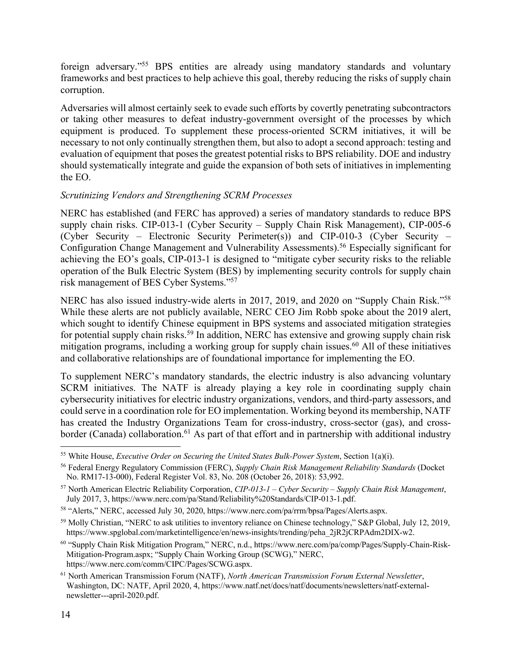foreign adversary."55 BPS entities are already using mandatory standards and voluntary frameworks and best practices to help achieve this goal, thereby reducing the risks of supply chain corruption.

Adversaries will almost certainly seek to evade such efforts by covertly penetrating subcontractors or taking other measures to defeat industry-government oversight of the processes by which equipment is produced. To supplement these process-oriented SCRM initiatives, it will be necessary to not only continually strengthen them, but also to adopt a second approach: testing and evaluation of equipment that poses the greatest potential risks to BPS reliability. DOE and industry should systematically integrate and guide the expansion of both sets of initiatives in implementing the EO.

#### *Scrutinizing Vendors and Strengthening SCRM Processes*

NERC has established (and FERC has approved) a series of mandatory standards to reduce BPS supply chain risks. CIP-013-1 (Cyber Security – Supply Chain Risk Management), CIP-005-6 (Cyber Security – Electronic Security Perimeter(s)) and CIP-010-3 (Cyber Security – Configuration Change Management and Vulnerability Assessments).<sup>56</sup> Especially significant for achieving the EO's goals, CIP-013-1 is designed to "mitigate cyber security risks to the reliable operation of the Bulk Electric System (BES) by implementing security controls for supply chain risk management of BES Cyber Systems."57

NERC has also issued industry-wide alerts in 2017, 2019, and 2020 on "Supply Chain Risk."58 While these alerts are not publicly available, NERC CEO Jim Robb spoke about the 2019 alert, which sought to identify Chinese equipment in BPS systems and associated mitigation strategies for potential supply chain risks.<sup>59</sup> In addition, NERC has extensive and growing supply chain risk mitigation programs, including a working group for supply chain issues.<sup>60</sup> All of these initiatives and collaborative relationships are of foundational importance for implementing the EO.

To supplement NERC's mandatory standards, the electric industry is also advancing voluntary SCRM initiatives. The NATF is already playing a key role in coordinating supply chain cybersecurity initiatives for electric industry organizations, vendors, and third-party assessors, and could serve in a coordination role for EO implementation. Working beyond its membership, NATF has created the Industry Organizations Team for cross-industry, cross-sector (gas), and crossborder (Canada) collaboration.<sup>61</sup> As part of that effort and in partnership with additional industry

<sup>55</sup> White House, *Executive Order on Securing the United States Bulk-Power System*, Section 1(a)(i).

<sup>56</sup> Federal Energy Regulatory Commission (FERC), *Supply Chain Risk Management Reliability Standards* (Docket No. RM17-13-000), Federal Register Vol. 83, No. 208 (October 26, 2018): 53,992.

<sup>57</sup> North American Electric Reliability Corporation, *CIP-013-1 – Cyber Security – Supply Chain Risk Management*, July 2017, 3, https://www.nerc.com/pa/Stand/Reliability%20Standards/CIP-013-1.pdf.

<sup>58</sup> "Alerts," NERC, accessed July 30, 2020, https://www.nerc.com/pa/rrm/bpsa/Pages/Alerts.aspx.

<sup>59</sup> Molly Christian, "NERC to ask utilities to inventory reliance on Chinese technology," S&P Global, July 12, 2019, https://www.spglobal.com/marketintelligence/en/news-insights/trending/peha\_2jR2jCRPAdm2DIX-w2.

<sup>60</sup> "Supply Chain Risk Mitigation Program," NERC, n.d., https://www.nerc.com/pa/comp/Pages/Supply-Chain-Risk-Mitigation-Program.aspx; "Supply Chain Working Group (SCWG)," NERC, https://www.nerc.com/comm/CIPC/Pages/SCWG.aspx.

<sup>61</sup> North American Transmission Forum (NATF), *North American Transmission Forum External Newsletter*, Washington, DC: NATF, April 2020, 4, https://www.natf.net/docs/natf/documents/newsletters/natf-externalnewsletter---april-2020.pdf.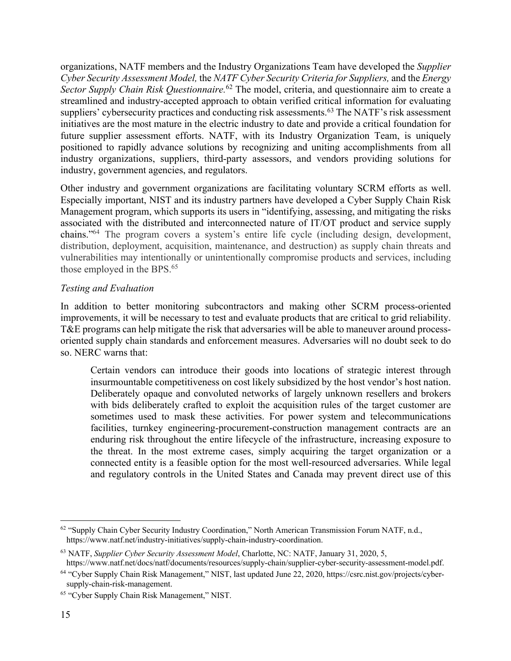organizations, NATF members and the Industry Organizations Team have developed the *Supplier Cyber Security Assessment Model,* the *NATF Cyber Security Criteria for Suppliers,* and the *Energy Sector Supply Chain Risk Questionnaire.*<sup>62</sup> The model, criteria, and questionnaire aim to create a streamlined and industry-accepted approach to obtain verified critical information for evaluating suppliers' cybersecurity practices and conducting risk assessments.<sup>63</sup> The NATF's risk assessment initiatives are the most mature in the electric industry to date and provide a critical foundation for future supplier assessment efforts. NATF, with its Industry Organization Team, is uniquely positioned to rapidly advance solutions by recognizing and uniting accomplishments from all industry organizations, suppliers, third-party assessors, and vendors providing solutions for industry, government agencies, and regulators.

Other industry and government organizations are facilitating voluntary SCRM efforts as well. Especially important, NIST and its industry partners have developed a Cyber Supply Chain Risk Management program, which supports its users in "identifying, assessing, and mitigating the risks associated with the distributed and interconnected nature of IT/OT product and service supply chains."64 The program covers a system's entire life cycle (including design, development, distribution, deployment, acquisition, maintenance, and destruction) as supply chain threats and vulnerabilities may intentionally or unintentionally compromise products and services, including those employed in the BPS.<sup>65</sup>

### *Testing and Evaluation*

In addition to better monitoring subcontractors and making other SCRM process-oriented improvements, it will be necessary to test and evaluate products that are critical to grid reliability. T&E programs can help mitigate the risk that adversaries will be able to maneuver around processoriented supply chain standards and enforcement measures. Adversaries will no doubt seek to do so. NERC warns that:

Certain vendors can introduce their goods into locations of strategic interest through insurmountable competitiveness on cost likely subsidized by the host vendor's host nation. Deliberately opaque and convoluted networks of largely unknown resellers and brokers with bids deliberately crafted to exploit the acquisition rules of the target customer are sometimes used to mask these activities. For power system and telecommunications facilities, turnkey engineering-procurement-construction management contracts are an enduring risk throughout the entire lifecycle of the infrastructure, increasing exposure to the threat. In the most extreme cases, simply acquiring the target organization or a connected entity is a feasible option for the most well-resourced adversaries. While legal and regulatory controls in the United States and Canada may prevent direct use of this

<sup>62</sup> "Supply Chain Cyber Security Industry Coordination," North American Transmission Forum NATF, n.d., https://www.natf.net/industry-initiatives/supply-chain-industry-coordination.

<sup>63</sup> NATF, *Supplier Cyber Security Assessment Model*, Charlotte, NC: NATF, January 31, 2020, 5,

https://www.natf.net/docs/natf/documents/resources/supply-chain/supplier-cyber-security-assessment-model.pdf.

<sup>64</sup> "Cyber Supply Chain Risk Management," NIST, last updated June 22, 2020, https://csrc.nist.gov/projects/cybersupply-chain-risk-management.

<sup>65</sup> "Cyber Supply Chain Risk Management," NIST.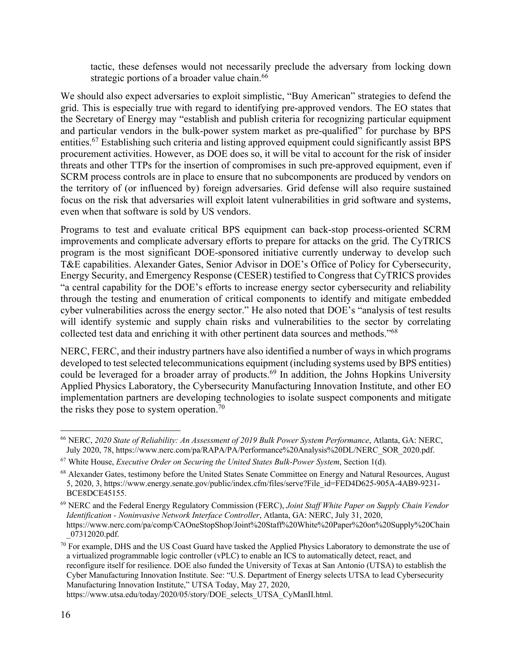tactic, these defenses would not necessarily preclude the adversary from locking down strategic portions of a broader value chain.<sup>66</sup>

We should also expect adversaries to exploit simplistic, "Buy American" strategies to defend the grid. This is especially true with regard to identifying pre-approved vendors. The EO states that the Secretary of Energy may "establish and publish criteria for recognizing particular equipment and particular vendors in the bulk-power system market as pre-qualified" for purchase by BPS entities.67 Establishing such criteria and listing approved equipment could significantly assist BPS procurement activities. However, as DOE does so, it will be vital to account for the risk of insider threats and other TTPs for the insertion of compromises in such pre-approved equipment, even if SCRM process controls are in place to ensure that no subcomponents are produced by vendors on the territory of (or influenced by) foreign adversaries. Grid defense will also require sustained focus on the risk that adversaries will exploit latent vulnerabilities in grid software and systems, even when that software is sold by US vendors.

Programs to test and evaluate critical BPS equipment can back-stop process-oriented SCRM improvements and complicate adversary efforts to prepare for attacks on the grid. The CyTRICS program is the most significant DOE-sponsored initiative currently underway to develop such T&E capabilities. Alexander Gates, Senior Advisor in DOE's Office of Policy for Cybersecurity, Energy Security, and Emergency Response (CESER) testified to Congress that CyTRICS provides "a central capability for the DOE's efforts to increase energy sector cybersecurity and reliability through the testing and enumeration of critical components to identify and mitigate embedded cyber vulnerabilities across the energy sector." He also noted that DOE's "analysis of test results will identify systemic and supply chain risks and vulnerabilities to the sector by correlating collected test data and enriching it with other pertinent data sources and methods."68

NERC, FERC, and their industry partners have also identified a number of ways in which programs developed to test selected telecommunications equipment (including systems used by BPS entities) could be leveraged for a broader array of products.<sup>69</sup> In addition, the Johns Hopkins University Applied Physics Laboratory, the Cybersecurity Manufacturing Innovation Institute, and other EO implementation partners are developing technologies to isolate suspect components and mitigate the risks they pose to system operation.<sup>70</sup>

<sup>66</sup> NERC, *2020 State of Reliability: An Assessment of 2019 Bulk Power System Performance*, Atlanta, GA: NERC, July 2020, 78, https://www.nerc.com/pa/RAPA/PA/Performance%20Analysis%20DL/NERC\_SOR\_2020.pdf.

<sup>67</sup> White House, *Executive Order on Securing the United States Bulk-Power System*, Section 1(d).

<sup>&</sup>lt;sup>68</sup> Alexander Gates, testimony before the United States Senate Committee on Energy and Natural Resources, August 5, 2020, 3, https://www.energy.senate.gov/public/index.cfm/files/serve?File\_id=FED4D625-905A-4AB9-9231- BCE8DCE45155.

<sup>69</sup> NERC and the Federal Energy Regulatory Commission (FERC), *Joint Staff White Paper on Supply Chain Vendor Identification - Noninvasive Network Interface Controller*, Atlanta, GA: NERC, July 31, 2020, https://www.nerc.com/pa/comp/CAOneStopShop/Joint%20Staff%20White%20Paper%20on%20Supply%20Chain \_07312020.pdf.

<sup>&</sup>lt;sup>70</sup> For example, DHS and the US Coast Guard have tasked the Applied Physics Laboratory to demonstrate the use of a virtualized programmable logic controller (vPLC) to enable an ICS to automatically detect, react, and reconfigure itself for resilience. DOE also funded the University of Texas at San Antonio (UTSA) to establish the Cyber Manufacturing Innovation Institute. See: "U.S. Department of Energy selects UTSA to lead Cybersecurity Manufacturing Innovation Institute," UTSA Today, May 27, 2020, https://www.utsa.edu/today/2020/05/story/DOE\_selects\_UTSA\_CyManII.html.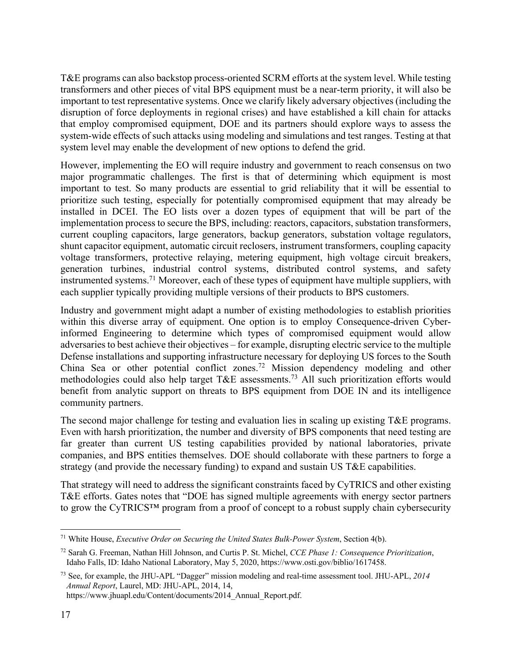T&E programs can also backstop process-oriented SCRM efforts at the system level. While testing transformers and other pieces of vital BPS equipment must be a near-term priority, it will also be important to test representative systems. Once we clarify likely adversary objectives (including the disruption of force deployments in regional crises) and have established a kill chain for attacks that employ compromised equipment, DOE and its partners should explore ways to assess the system-wide effects of such attacks using modeling and simulations and test ranges. Testing at that system level may enable the development of new options to defend the grid.

However, implementing the EO will require industry and government to reach consensus on two major programmatic challenges. The first is that of determining which equipment is most important to test. So many products are essential to grid reliability that it will be essential to prioritize such testing, especially for potentially compromised equipment that may already be installed in DCEI. The EO lists over a dozen types of equipment that will be part of the implementation process to secure the BPS, including: reactors, capacitors, substation transformers, current coupling capacitors, large generators, backup generators, substation voltage regulators, shunt capacitor equipment, automatic circuit reclosers, instrument transformers, coupling capacity voltage transformers, protective relaying, metering equipment, high voltage circuit breakers, generation turbines, industrial control systems, distributed control systems, and safety instrumented systems.71 Moreover, each of these types of equipment have multiple suppliers, with each supplier typically providing multiple versions of their products to BPS customers.

Industry and government might adapt a number of existing methodologies to establish priorities within this diverse array of equipment. One option is to employ Consequence-driven Cyberinformed Engineering to determine which types of compromised equipment would allow adversaries to best achieve their objectives – for example, disrupting electric service to the multiple Defense installations and supporting infrastructure necessary for deploying US forces to the South China Sea or other potential conflict zones.72 Mission dependency modeling and other methodologies could also help target T&E assessments.<sup>73</sup> All such prioritization efforts would benefit from analytic support on threats to BPS equipment from DOE IN and its intelligence community partners.

The second major challenge for testing and evaluation lies in scaling up existing T&E programs. Even with harsh prioritization, the number and diversity of BPS components that need testing are far greater than current US testing capabilities provided by national laboratories, private companies, and BPS entities themselves. DOE should collaborate with these partners to forge a strategy (and provide the necessary funding) to expand and sustain US T&E capabilities.

That strategy will need to address the significant constraints faced by CyTRICS and other existing T&E efforts. Gates notes that "DOE has signed multiple agreements with energy sector partners to grow the CyTRICS™ program from a proof of concept to a robust supply chain cybersecurity

<sup>71</sup> White House, *Executive Order on Securing the United States Bulk-Power System*, Section 4(b).

<sup>72</sup> Sarah G. Freeman, Nathan Hill Johnson, and Curtis P. St. Michel, *CCE Phase 1: Consequence Prioritization*, Idaho Falls, ID: Idaho National Laboratory, May 5, 2020, https://www.osti.gov/biblio/1617458.

<sup>73</sup> See, for example, the JHU-APL "Dagger" mission modeling and real-time assessment tool. JHU-APL, *2014 Annual Report*, Laurel, MD: JHU-APL, 2014, 14, https://www.jhuapl.edu/Content/documents/2014\_Annual\_Report.pdf.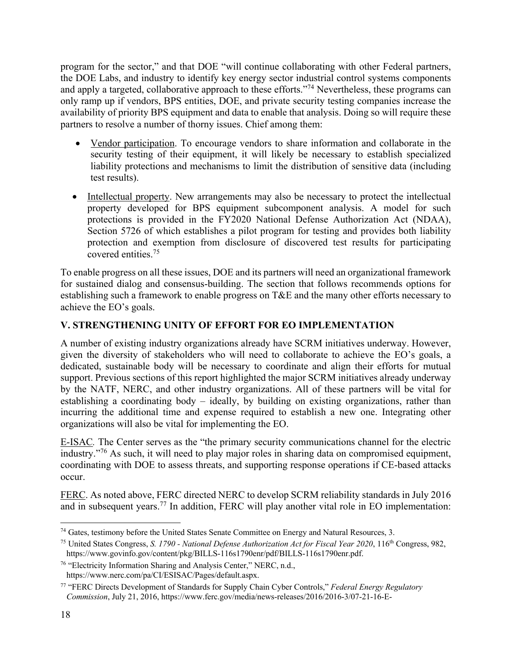program for the sector," and that DOE "will continue collaborating with other Federal partners, the DOE Labs, and industry to identify key energy sector industrial control systems components and apply a targeted, collaborative approach to these efforts."74 Nevertheless, these programs can only ramp up if vendors, BPS entities, DOE, and private security testing companies increase the availability of priority BPS equipment and data to enable that analysis. Doing so will require these partners to resolve a number of thorny issues. Chief among them:

- Vendor participation. To encourage vendors to share information and collaborate in the security testing of their equipment, it will likely be necessary to establish specialized liability protections and mechanisms to limit the distribution of sensitive data (including test results).
- Intellectual property. New arrangements may also be necessary to protect the intellectual property developed for BPS equipment subcomponent analysis. A model for such protections is provided in the FY2020 National Defense Authorization Act (NDAA), Section 5726 of which establishes a pilot program for testing and provides both liability protection and exemption from disclosure of discovered test results for participating covered entities. 75

To enable progress on all these issues, DOE and its partners will need an organizational framework for sustained dialog and consensus-building. The section that follows recommends options for establishing such a framework to enable progress on T&E and the many other efforts necessary to achieve the EO's goals.

# **V. STRENGTHENING UNITY OF EFFORT FOR EO IMPLEMENTATION**

A number of existing industry organizations already have SCRM initiatives underway. However, given the diversity of stakeholders who will need to collaborate to achieve the EO's goals, a dedicated, sustainable body will be necessary to coordinate and align their efforts for mutual support. Previous sections of this report highlighted the major SCRM initiatives already underway by the NATF, NERC, and other industry organizations. All of these partners will be vital for establishing a coordinating body – ideally, by building on existing organizations, rather than incurring the additional time and expense required to establish a new one. Integrating other organizations will also be vital for implementing the EO.

E-ISAC*.* The Center serves as the "the primary security communications channel for the electric industry."76 As such, it will need to play major roles in sharing data on compromised equipment, coordinating with DOE to assess threats, and supporting response operations if CE-based attacks occur.

FERC. As noted above, FERC directed NERC to develop SCRM reliability standards in July 2016 and in subsequent years.<sup>77</sup> In addition, FERC will play another vital role in EO implementation:

<sup>74</sup> Gates, testimony before the United States Senate Committee on Energy and Natural Resources, 3.

<sup>75</sup> United States Congress, *S. 1790 - National Defense Authorization Act for Fiscal Year 2020*, 116th Congress, 982, https://www.govinfo.gov/content/pkg/BILLS-116s1790enr/pdf/BILLS-116s1790enr.pdf.

<sup>76</sup> "Electricity Information Sharing and Analysis Center," NERC, n.d., https://www.nerc.com/pa/CI/ESISAC/Pages/default.aspx.

<sup>77</sup> "FERC Directs Development of Standards for Supply Chain Cyber Controls," *Federal Energy Regulatory Commission*, July 21, 2016, https://www.ferc.gov/media/news-releases/2016/2016-3/07-21-16-E-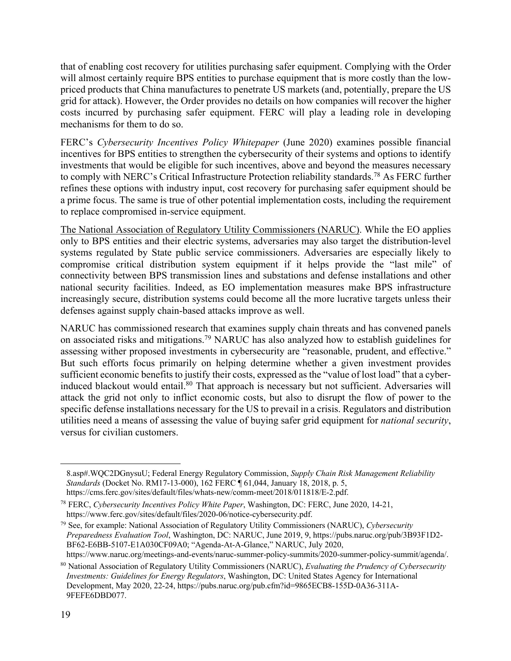that of enabling cost recovery for utilities purchasing safer equipment. Complying with the Order will almost certainly require BPS entities to purchase equipment that is more costly than the lowpriced products that China manufactures to penetrate US markets (and, potentially, prepare the US grid for attack). However, the Order provides no details on how companies will recover the higher costs incurred by purchasing safer equipment. FERC will play a leading role in developing mechanisms for them to do so.

FERC's *Cybersecurity Incentives Policy Whitepaper* (June 2020) examines possible financial incentives for BPS entities to strengthen the cybersecurity of their systems and options to identify investments that would be eligible for such incentives, above and beyond the measures necessary to comply with NERC's Critical Infrastructure Protection reliability standards.<sup>78</sup> As FERC further refines these options with industry input, cost recovery for purchasing safer equipment should be a prime focus. The same is true of other potential implementation costs, including the requirement to replace compromised in-service equipment.

The National Association of Regulatory Utility Commissioners (NARUC). While the EO applies only to BPS entities and their electric systems, adversaries may also target the distribution-level systems regulated by State public service commissioners. Adversaries are especially likely to compromise critical distribution system equipment if it helps provide the "last mile" of connectivity between BPS transmission lines and substations and defense installations and other national security facilities. Indeed, as EO implementation measures make BPS infrastructure increasingly secure, distribution systems could become all the more lucrative targets unless their defenses against supply chain-based attacks improve as well.

NARUC has commissioned research that examines supply chain threats and has convened panels on associated risks and mitigations.79 NARUC has also analyzed how to establish guidelines for assessing wither proposed investments in cybersecurity are "reasonable, prudent, and effective." But such efforts focus primarily on helping determine whether a given investment provides sufficient economic benefits to justify their costs, expressed as the "value of lost load" that a cyberinduced blackout would entail.<sup>80</sup> That approach is necessary but not sufficient. Adversaries will attack the grid not only to inflict economic costs, but also to disrupt the flow of power to the specific defense installations necessary for the US to prevail in a crisis. Regulators and distribution utilities need a means of assessing the value of buying safer grid equipment for *national security*, versus for civilian customers.

<sup>8.</sup>asp#.WQC2DGnysuU; Federal Energy Regulatory Commission, *Supply Chain Risk Management Reliability Standards* (Docket No. RM17-13-000), 162 FERC ¶ 61,044, January 18, 2018, p. 5, https://cms.ferc.gov/sites/default/files/whats-new/comm-meet/2018/011818/E-2.pdf.

<sup>78</sup> FERC, *Cybersecurity Incentives Policy White Paper*, Washington, DC: FERC, June 2020, 14-21, https://www.ferc.gov/sites/default/files/2020-06/notice-cybersecurity.pdf.

<sup>79</sup> See, for example: National Association of Regulatory Utility Commissioners (NARUC), *Cybersecurity Preparedness Evaluation Tool*, Washington, DC: NARUC, June 2019, 9, https://pubs.naruc.org/pub/3B93F1D2- BF62-E6BB-5107-E1A030CF09A0; "Agenda-At-A-Glance," NARUC, July 2020, https://www.naruc.org/meetings-and-events/naruc-summer-policy-summits/2020-summer-policy-summit/agenda/.

<sup>80</sup> National Association of Regulatory Utility Commissioners (NARUC), *Evaluating the Prudency of Cybersecurity Investments: Guidelines for Energy Regulators*, Washington, DC: United States Agency for International Development, May 2020, 22-24, https://pubs.naruc.org/pub.cfm?id=9865ECB8-155D-0A36-311A-9FEFE6DBD077.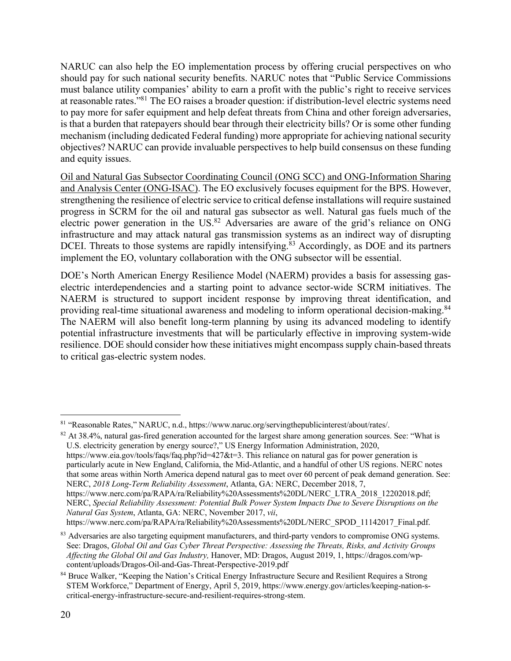NARUC can also help the EO implementation process by offering crucial perspectives on who should pay for such national security benefits. NARUC notes that "Public Service Commissions must balance utility companies' ability to earn a profit with the public's right to receive services at reasonable rates."81 The EO raises a broader question: if distribution-level electric systems need to pay more for safer equipment and help defeat threats from China and other foreign adversaries, is that a burden that ratepayers should bear through their electricity bills? Or is some other funding mechanism (including dedicated Federal funding) more appropriate for achieving national security objectives? NARUC can provide invaluable perspectives to help build consensus on these funding and equity issues.

Oil and Natural Gas Subsector Coordinating Council (ONG SCC) and ONG-Information Sharing and Analysis Center (ONG-ISAC). The EO exclusively focuses equipment for the BPS. However, strengthening the resilience of electric service to critical defense installations will require sustained progress in SCRM for the oil and natural gas subsector as well. Natural gas fuels much of the electric power generation in the US.<sup>82</sup> Adversaries are aware of the grid's reliance on ONG infrastructure and may attack natural gas transmission systems as an indirect way of disrupting DCEI. Threats to those systems are rapidly intensifying.<sup>83</sup> Accordingly, as DOE and its partners implement the EO, voluntary collaboration with the ONG subsector will be essential.

DOE's North American Energy Resilience Model (NAERM) provides a basis for assessing gaselectric interdependencies and a starting point to advance sector-wide SCRM initiatives. The NAERM is structured to support incident response by improving threat identification, and providing real-time situational awareness and modeling to inform operational decision-making.<sup>84</sup> The NAERM will also benefit long-term planning by using its advanced modeling to identify potential infrastructure investments that will be particularly effective in improving system-wide resilience. DOE should consider how these initiatives might encompass supply chain-based threats to critical gas-electric system nodes.

<sup>82</sup> At 38.4%, natural gas-fired generation accounted for the largest share among generation sources. See: "What is U.S. electricity generation by energy source?," US Energy Information Administration, 2020, https://www.eia.gov/tools/faqs/faq.php?id=427&t=3. This reliance on natural gas for power generation is particularly acute in New England, California, the Mid-Atlantic, and a handful of other US regions. NERC notes that some areas within North America depend natural gas to meet over 60 percent of peak demand generation. See: NERC, *2018 Long-Term Reliability Assessment*, Atlanta, GA: NERC, December 2018, 7, https://www.nerc.com/pa/RAPA/ra/Reliability%20Assessments%20DL/NERC\_LTRA\_2018\_12202018.pdf; NERC, *Special Reliability Assessment: Potential Bulk Power System Impacts Due to Severe Disruptions on the Natural Gas System*, Atlanta, GA: NERC, November 2017, *vii*,

<sup>81</sup> "Reasonable Rates," NARUC, n.d., https://www.naruc.org/servingthepublicinterest/about/rates/.

https://www.nerc.com/pa/RAPA/ra/Reliability%20Assessments%20DL/NERC\_SPOD\_11142017\_Final.pdf.

<sup>83</sup> Adversaries are also targeting equipment manufacturers, and third-party vendors to compromise ONG systems. See: Dragos, *Global Oil and Gas Cyber Threat Perspective: Assessing the Threats, Risks, and Activity Groups Affecting the Global Oil and Gas Industry,* Hanover, MD: Dragos, August 2019, 1, https://dragos.com/wpcontent/uploads/Dragos-Oil-and-Gas-Threat-Perspective-2019.pdf

<sup>&</sup>lt;sup>84</sup> Bruce Walker, "Keeping the Nation's Critical Energy Infrastructure Secure and Resilient Requires a Strong STEM Workforce," Department of Energy, April 5, 2019, https://www.energy.gov/articles/keeping-nation-scritical-energy-infrastructure-secure-and-resilient-requires-strong-stem.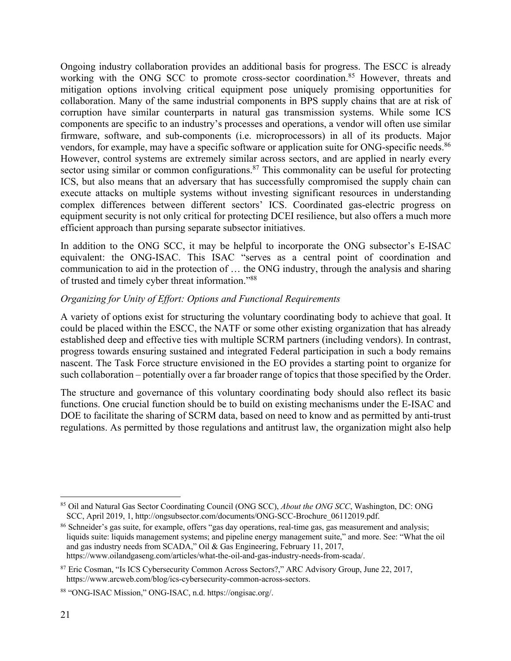Ongoing industry collaboration provides an additional basis for progress. The ESCC is already working with the ONG SCC to promote cross-sector coordination.<sup>85</sup> However, threats and mitigation options involving critical equipment pose uniquely promising opportunities for collaboration. Many of the same industrial components in BPS supply chains that are at risk of corruption have similar counterparts in natural gas transmission systems. While some ICS components are specific to an industry's processes and operations, a vendor will often use similar firmware, software, and sub-components (i.e. microprocessors) in all of its products. Major vendors, for example, may have a specific software or application suite for ONG-specific needs.<sup>86</sup> However, control systems are extremely similar across sectors, and are applied in nearly every sector using similar or common configurations.<sup>87</sup> This commonality can be useful for protecting ICS, but also means that an adversary that has successfully compromised the supply chain can execute attacks on multiple systems without investing significant resources in understanding complex differences between different sectors' ICS. Coordinated gas-electric progress on equipment security is not only critical for protecting DCEI resilience, but also offers a much more efficient approach than pursing separate subsector initiatives.

In addition to the ONG SCC, it may be helpful to incorporate the ONG subsector's E-ISAC equivalent: the ONG-ISAC. This ISAC "serves as a central point of coordination and communication to aid in the protection of … the ONG industry, through the analysis and sharing of trusted and timely cyber threat information."88

### *Organizing for Unity of Effort: Options and Functional Requirements*

A variety of options exist for structuring the voluntary coordinating body to achieve that goal. It could be placed within the ESCC, the NATF or some other existing organization that has already established deep and effective ties with multiple SCRM partners (including vendors). In contrast, progress towards ensuring sustained and integrated Federal participation in such a body remains nascent. The Task Force structure envisioned in the EO provides a starting point to organize for such collaboration – potentially over a far broader range of topics that those specified by the Order.

The structure and governance of this voluntary coordinating body should also reflect its basic functions. One crucial function should be to build on existing mechanisms under the E-ISAC and DOE to facilitate the sharing of SCRM data, based on need to know and as permitted by anti-trust regulations. As permitted by those regulations and antitrust law, the organization might also help

<sup>85</sup> Oil and Natural Gas Sector Coordinating Council (ONG SCC), *About the ONG SCC*, Washington, DC: ONG SCC, April 2019, 1, http://ongsubsector.com/documents/ONG-SCC-Brochure\_06112019.pdf.

<sup>&</sup>lt;sup>86</sup> Schneider's gas suite, for example, offers "gas day operations, real-time gas, gas measurement and analysis; liquids suite: liquids management systems; and pipeline energy management suite," and more. See: "What the oil and gas industry needs from SCADA," Oil & Gas Engineering, February 11, 2017, https://www.oilandgaseng.com/articles/what-the-oil-and-gas-industry-needs-from-scada/.

<sup>&</sup>lt;sup>87</sup> Eric Cosman, "Is ICS Cybersecurity Common Across Sectors?," ARC Advisory Group, June 22, 2017, https://www.arcweb.com/blog/ics-cybersecurity-common-across-sectors.

<sup>88</sup> "ONG-ISAC Mission," ONG-ISAC, n.d. https://ongisac.org/.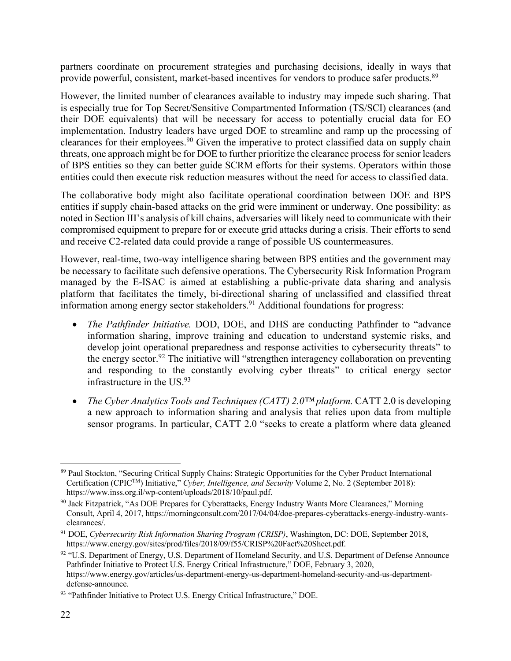partners coordinate on procurement strategies and purchasing decisions, ideally in ways that provide powerful, consistent, market-based incentives for vendors to produce safer products.<sup>89</sup>

However, the limited number of clearances available to industry may impede such sharing. That is especially true for Top Secret/Sensitive Compartmented Information (TS/SCI) clearances (and their DOE equivalents) that will be necessary for access to potentially crucial data for EO implementation. Industry leaders have urged DOE to streamline and ramp up the processing of clearances for their employees.<sup>90</sup> Given the imperative to protect classified data on supply chain threats, one approach might be for DOE to further prioritize the clearance process for senior leaders of BPS entities so they can better guide SCRM efforts for their systems. Operators within those entities could then execute risk reduction measures without the need for access to classified data.

The collaborative body might also facilitate operational coordination between DOE and BPS entities if supply chain-based attacks on the grid were imminent or underway. One possibility: as noted in Section III's analysis of kill chains, adversaries will likely need to communicate with their compromised equipment to prepare for or execute grid attacks during a crisis. Their efforts to send and receive C2-related data could provide a range of possible US countermeasures.

However, real-time, two-way intelligence sharing between BPS entities and the government may be necessary to facilitate such defensive operations. The Cybersecurity Risk Information Program managed by the E-ISAC is aimed at establishing a public-private data sharing and analysis platform that facilitates the timely, bi-directional sharing of unclassified and classified threat information among energy sector stakeholders.<sup>91</sup> Additional foundations for progress:

- *The Pathfinder Initiative.* DOD, DOE, and DHS are conducting Pathfinder to "advance information sharing, improve training and education to understand systemic risks, and develop joint operational preparedness and response activities to cybersecurity threats" to the energy sector.<sup>92</sup> The initiative will "strengthen interagency collaboration on preventing and responding to the constantly evolving cyber threats" to critical energy sector infrastructure in the US.93
- *The Cyber Analytics Tools and Techniques (CATT) 2.0™ platform.* CATT 2.0 is developing a new approach to information sharing and analysis that relies upon data from multiple sensor programs. In particular, CATT 2.0 "seeks to create a platform where data gleaned

<sup>&</sup>lt;sup>89</sup> Paul Stockton, "Securing Critical Supply Chains: Strategic Opportunities for the Cyber Product International Certification (CPICTM) Initiative," *Cyber, Intelligence, and Security* Volume 2, No. 2 (September 2018): https://www.inss.org.il/wp-content/uploads/2018/10/paul.pdf.

<sup>90</sup> Jack Fitzpatrick, "As DOE Prepares for Cyberattacks, Energy Industry Wants More Clearances," Morning Consult, April 4, 2017, https://morningconsult.com/2017/04/04/doe-prepares-cyberattacks-energy-industry-wantsclearances/.

<sup>91</sup> DOE, *Cybersecurity Risk Information Sharing Program (CRISP)*, Washington, DC: DOE, September 2018, https://www.energy.gov/sites/prod/files/2018/09/f55/CRISP%20Fact%20Sheet.pdf.

<sup>92 &</sup>quot;U.S. Department of Energy, U.S. Department of Homeland Security, and U.S. Department of Defense Announce Pathfinder Initiative to Protect U.S. Energy Critical Infrastructure," DOE, February 3, 2020, https://www.energy.gov/articles/us-department-energy-us-department-homeland-security-and-us-departmentdefense-announce.

<sup>&</sup>lt;sup>93</sup> "Pathfinder Initiative to Protect U.S. Energy Critical Infrastructure," DOE.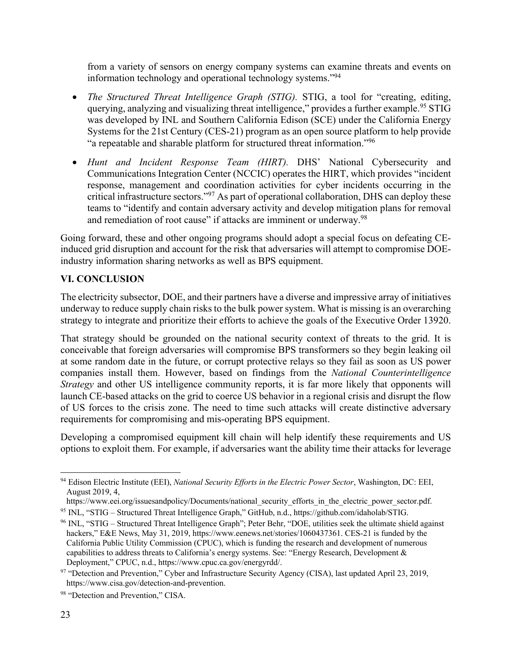from a variety of sensors on energy company systems can examine threats and events on information technology and operational technology systems."94

- *The Structured Threat Intelligence Graph (STIG).* STIG, a tool for "creating, editing, querying, analyzing and visualizing threat intelligence," provides a further example.<sup>95</sup> STIG was developed by INL and Southern California Edison (SCE) under the California Energy Systems for the 21st Century (CES-21) program as an open source platform to help provide "a repeatable and sharable platform for structured threat information."96
- *Hunt and Incident Response Team (HIRT).* DHS' National Cybersecurity and Communications Integration Center (NCCIC) operates the HIRT, which provides "incident response, management and coordination activities for cyber incidents occurring in the critical infrastructure sectors."97 As part of operational collaboration, DHS can deploy these teams to "identify and contain adversary activity and develop mitigation plans for removal and remediation of root cause" if attacks are imminent or underway.<sup>98</sup>

Going forward, these and other ongoing programs should adopt a special focus on defeating CEinduced grid disruption and account for the risk that adversaries will attempt to compromise DOEindustry information sharing networks as well as BPS equipment.

## **VI. CONCLUSION**

The electricity subsector, DOE, and their partners have a diverse and impressive array of initiatives underway to reduce supply chain risks to the bulk power system. What is missing is an overarching strategy to integrate and prioritize their efforts to achieve the goals of the Executive Order 13920.

That strategy should be grounded on the national security context of threats to the grid. It is conceivable that foreign adversaries will compromise BPS transformers so they begin leaking oil at some random date in the future, or corrupt protective relays so they fail as soon as US power companies install them. However, based on findings from the *National Counterintelligence Strategy* and other US intelligence community reports, it is far more likely that opponents will launch CE-based attacks on the grid to coerce US behavior in a regional crisis and disrupt the flow of US forces to the crisis zone. The need to time such attacks will create distinctive adversary requirements for compromising and mis-operating BPS equipment.

Developing a compromised equipment kill chain will help identify these requirements and US options to exploit them. For example, if adversaries want the ability time their attacks for leverage

<sup>94</sup> Edison Electric Institute (EEI), *National Security Efforts in the Electric Power Sector*, Washington, DC: EEI, August 2019, 4,<br>https://www.eei.org/issuesandpolicy/Documents/national security efforts in the electric power sector.pdf.

<sup>&</sup>lt;sup>95</sup> INL, "STIG – Structured Threat Intelligence Graph," GitHub, n.d., https://github.com/idaholab/STIG.

<sup>96</sup> INL, "STIG – Structured Threat Intelligence Graph"; Peter Behr, "DOE, utilities seek the ultimate shield against hackers," E&E News, May 31, 2019, https://www.eenews.net/stories/1060437361. CES-21 is funded by the California Public Utility Commission (CPUC), which is funding the research and development of numerous capabilities to address threats to California's energy systems. See: "Energy Research, Development  $\&$ Deployment," CPUC, n.d., https://www.cpuc.ca.gov/energyrdd/.

<sup>97 &</sup>quot;Detection and Prevention," Cyber and Infrastructure Security Agency (CISA), last updated April 23, 2019, https://www.cisa.gov/detection-and-prevention.

<sup>98 &</sup>quot;Detection and Prevention," CISA.